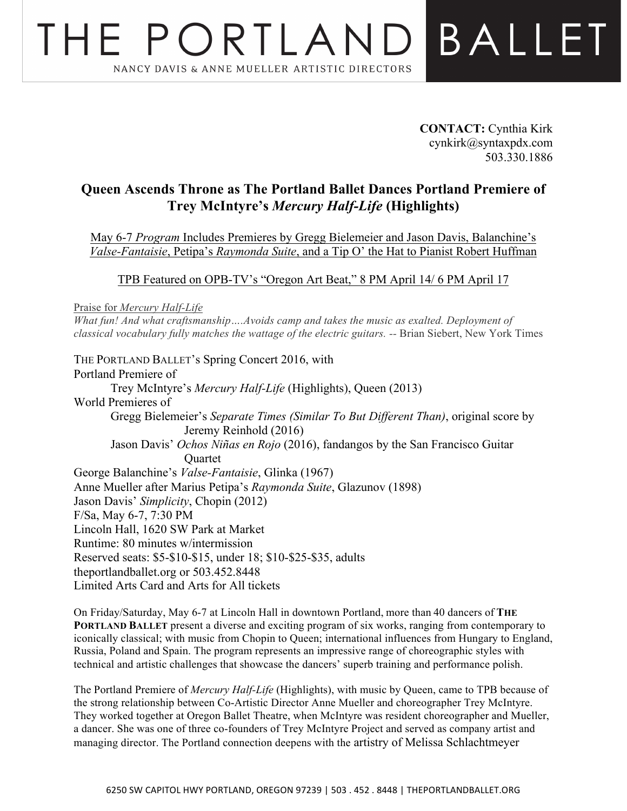## THE PORTLAND BALLET NANCY DAVIS & ANNE MUELLER ARTISTIC DIRECTORS

**CONTACT:** Cynthia Kirk cynkirk@syntaxpdx.com 503.330.1886

## **Queen Ascends Throne as The Portland Ballet Dances Portland Premiere of Trey McIntyre's** *Mercury Half-Life* **(Highlights)**

May 6-7 *Program* Includes Premieres by Gregg Bielemeier and Jason Davis, Balanchine's *Valse-Fantaisie*, Petipa's *Raymonda Suite*, and a Tip O' the Hat to Pianist Robert Huffman

TPB Featured on OPB-TV's "Oregon Art Beat," 8 PM April 14/ 6 PM April 17

Praise for *Mercury Half-Life*

*What fun! And what craftsmanship….Avoids camp and takes the music as exalted. Deployment of classical vocabulary fully matches the wattage of the electric guitars. --* Brian Siebert, New York Times

THE PORTLAND BALLET's Spring Concert 2016, with Portland Premiere of Trey McIntyre's *Mercury Half-Life* (Highlights), Queen (2013) World Premieres of Gregg Bielemeier's *Separate Times (Similar To But Different Than)*, original score by Jeremy Reinhold (2016) Jason Davis' *Ochos Niñas en Rojo* (2016), fandangos by the San Francisco Guitar **Ouartet** George Balanchine's *Valse-Fantaisie*, Glinka (1967) Anne Mueller after Marius Petipa's *Raymonda Suite*, Glazunov (1898) Jason Davis' *Simplicity*, Chopin (2012) F/Sa, May 6-7, 7:30 PM Lincoln Hall, 1620 SW Park at Market Runtime: 80 minutes w/intermission Reserved seats: \$5-\$10-\$15, under 18; \$10-\$25-\$35, adults theportlandballet.org or 503.452.8448 Limited Arts Card and Arts for All tickets

On Friday/Saturday, May 6-7 at Lincoln Hall in downtown Portland, more than 40 dancers of **THE PORTLAND BALLET** present a diverse and exciting program of six works, ranging from contemporary to iconically classical; with music from Chopin to Queen; international influences from Hungary to England, Russia, Poland and Spain. The program represents an impressive range of choreographic styles with technical and artistic challenges that showcase the dancers' superb training and performance polish.

The Portland Premiere of *Mercury Half-Life* (Highlights), with music by Queen, came to TPB because of the strong relationship between Co-Artistic Director Anne Mueller and choreographer Trey McIntyre. They worked together at Oregon Ballet Theatre, when McIntyre was resident choreographer and Mueller, a dancer. She was one of three co-founders of Trey McIntyre Project and served as company artist and managing director. The Portland connection deepens with the artistry of Melissa Schlachtmeyer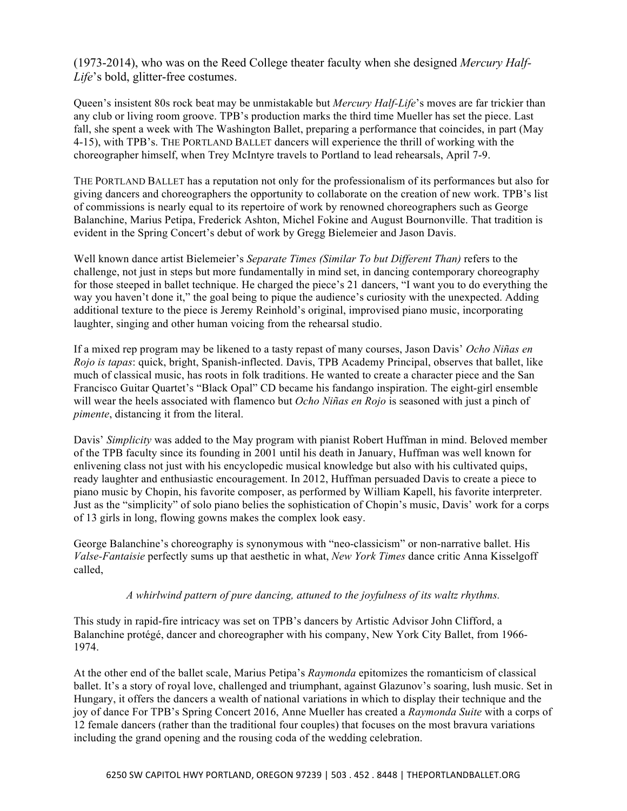(1973-2014), who was on the Reed College theater faculty when she designed *Mercury Half-Life*'s bold, glitter-free costumes.

Queen's insistent 80s rock beat may be unmistakable but *Mercury Half-Life*'s moves are far trickier than any club or living room groove. TPB's production marks the third time Mueller has set the piece. Last fall, she spent a week with The Washington Ballet, preparing a performance that coincides, in part (May 4-15), with TPB's. THE PORTLAND BALLET dancers will experience the thrill of working with the choreographer himself, when Trey McIntyre travels to Portland to lead rehearsals, April 7-9.

THE PORTLAND BALLET has a reputation not only for the professionalism of its performances but also for giving dancers and choreographers the opportunity to collaborate on the creation of new work. TPB's list of commissions is nearly equal to its repertoire of work by renowned choreographers such as George Balanchine, Marius Petipa, Frederick Ashton, Michel Fokine and August Bournonville. That tradition is evident in the Spring Concert's debut of work by Gregg Bielemeier and Jason Davis.

Well known dance artist Bielemeier's *Separate Times (Similar To but Different Than)* refers to the challenge, not just in steps but more fundamentally in mind set, in dancing contemporary choreography for those steeped in ballet technique. He charged the piece's 21 dancers, "I want you to do everything the way you haven't done it," the goal being to pique the audience's curiosity with the unexpected. Adding additional texture to the piece is Jeremy Reinhold's original, improvised piano music, incorporating laughter, singing and other human voicing from the rehearsal studio.

If a mixed rep program may be likened to a tasty repast of many courses, Jason Davis' *Ocho Niñas en Rojo is tapas*: quick, bright, Spanish-inflected. Davis, TPB Academy Principal, observes that ballet, like much of classical music, has roots in folk traditions. He wanted to create a character piece and the San Francisco Guitar Quartet's "Black Opal" CD became his fandango inspiration. The eight-girl ensemble will wear the heels associated with flamenco but *Ocho Niñas en Rojo* is seasoned with just a pinch of *pimente*, distancing it from the literal.

Davis' *Simplicity* was added to the May program with pianist Robert Huffman in mind. Beloved member of the TPB faculty since its founding in 2001 until his death in January, Huffman was well known for enlivening class not just with his encyclopedic musical knowledge but also with his cultivated quips, ready laughter and enthusiastic encouragement. In 2012, Huffman persuaded Davis to create a piece to piano music by Chopin, his favorite composer, as performed by William Kapell, his favorite interpreter. Just as the "simplicity" of solo piano belies the sophistication of Chopin's music, Davis' work for a corps of 13 girls in long, flowing gowns makes the complex look easy.

George Balanchine's choreography is synonymous with "neo-classicism" or non-narrative ballet. His *Valse-Fantaisie* perfectly sums up that aesthetic in what, *New York Times* dance critic Anna Kisselgoff called,

## *A whirlwind pattern of pure dancing, attuned to the joyfulness of its waltz rhythms.*

This study in rapid-fire intricacy was set on TPB's dancers by Artistic Advisor John Clifford, a Balanchine protégé, dancer and choreographer with his company, New York City Ballet, from 1966- 1974.

At the other end of the ballet scale, Marius Petipa's *Raymonda* epitomizes the romanticism of classical ballet. It's a story of royal love, challenged and triumphant, against Glazunov's soaring, lush music. Set in Hungary, it offers the dancers a wealth of national variations in which to display their technique and the joy of dance For TPB's Spring Concert 2016, Anne Mueller has created a *Raymonda Suite* with a corps of 12 female dancers (rather than the traditional four couples) that focuses on the most bravura variations including the grand opening and the rousing coda of the wedding celebration.